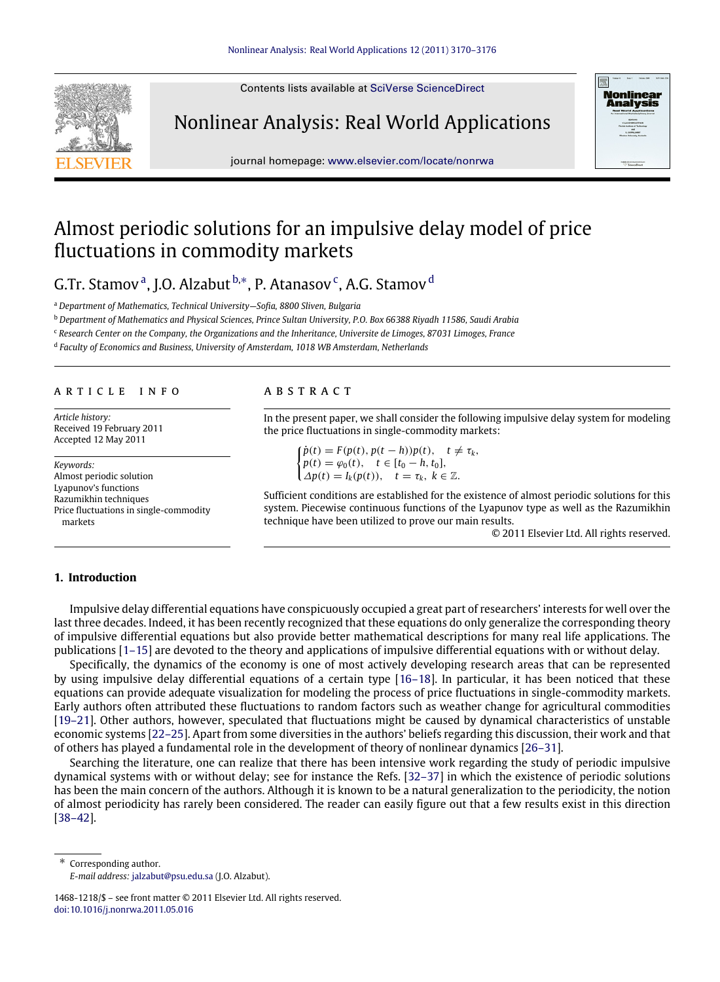Contents lists available at [SciVerse ScienceDirect](http://www.elsevier.com/locate/nonrwa)

Nonlinear Analysis: Real World Applications



journal homepage: [www.elsevier.com/locate/nonrwa](http://www.elsevier.com/locate/nonrwa)

## Almost periodic solutions for an impulsive delay model of price fluctuations in commodity markets

G.Tr. St[a](#page-0-0)mov<sup>a</sup>, J.O. Alzabut <sup>[b,](#page-0-1)\*</sup>, P. Atanasov<sup>[c](#page-0-3)</sup>, A.G. Stamov <sup>[d](#page-0-4)</sup>

<span id="page-0-0"></span><sup>a</sup> *Department of Mathematics, Technical University—Sofia, 8800 Sliven, Bulgaria*

<span id="page-0-1"></span><sup>b</sup> *Department of Mathematics and Physical Sciences, Prince Sultan University, P.O. Box 66388 Riyadh 11586, Saudi Arabia*

<span id="page-0-3"></span><sup>c</sup> *Research Center on the Company, the Organizations and the Inheritance, Universite de Limoges, 87031 Limoges, France*

<span id="page-0-4"></span>d *Faculty of Economics and Business, University of Amsterdam, 1018 WB Amsterdam, Netherlands*

#### a r t i c l e i n f o

*Article history:* Received 19 February 2011 Accepted 12 May 2011

*Keywords:* Almost periodic solution Lyapunov's functions Razumikhin techniques Price fluctuations in single-commodity markets

### A B S T R A C T

In the present paper, we shall consider the following impulsive delay system for modeling the price fluctuations in single-commodity markets:

 $\hat{p}(t) = F(p(t), p(t-h))p(t), \quad t \neq \tau_k,$  $p(t) = \varphi_0(t), \quad t \in [t_0 - h, t_0],$  $\Delta p(t) = I_k(p(t)), \quad t = \tau_k, \ k \in \mathbb{Z}.$ 

Sufficient conditions are established for the existence of almost periodic solutions for this system. Piecewise continuous functions of the Lyapunov type as well as the Razumikhin technique have been utilized to prove our main results.

© 2011 Elsevier Ltd. All rights reserved.

#### **1. Introduction**

Impulsive delay differential equations have conspicuously occupied a great part of researchers' interests for well over the last three decades. Indeed, it has been recently recognized that these equations do only generalize the corresponding theory of impulsive differential equations but also provide better mathematical descriptions for many real life applications. The publications [\[1–15\]](#page--1-0) are devoted to the theory and applications of impulsive differential equations with or without delay.

Specifically, the dynamics of the economy is one of most actively developing research areas that can be represented by using impulsive delay differential equations of a certain type [\[16–18\]](#page--1-1). In particular, it has been noticed that these equations can provide adequate visualization for modeling the process of price fluctuations in single-commodity markets. Early authors often attributed these fluctuations to random factors such as weather change for agricultural commodities [\[19–21\]](#page--1-2). Other authors, however, speculated that fluctuations might be caused by dynamical characteristics of unstable economic systems [\[22–25\]](#page--1-3). Apart from some diversities in the authors' beliefs regarding this discussion, their work and that of others has played a fundamental role in the development of theory of nonlinear dynamics [\[26–31\]](#page--1-4).

Searching the literature, one can realize that there has been intensive work regarding the study of periodic impulsive dynamical systems with or without delay; see for instance the Refs. [\[32–37\]](#page--1-5) in which the existence of periodic solutions has been the main concern of the authors. Although it is known to be a natural generalization to the periodicity, the notion of almost periodicity has rarely been considered. The reader can easily figure out that a few results exist in this direction [\[38–42\]](#page--1-6).

<span id="page-0-2"></span>Corresponding author. *E-mail address:* [jalzabut@psu.edu.sa](mailto:jalzabut@psu.edu.sa) (J.O. Alzabut).

<sup>1468-1218/\$ –</sup> see front matter © 2011 Elsevier Ltd. All rights reserved. [doi:10.1016/j.nonrwa.2011.05.016](http://dx.doi.org/10.1016/j.nonrwa.2011.05.016)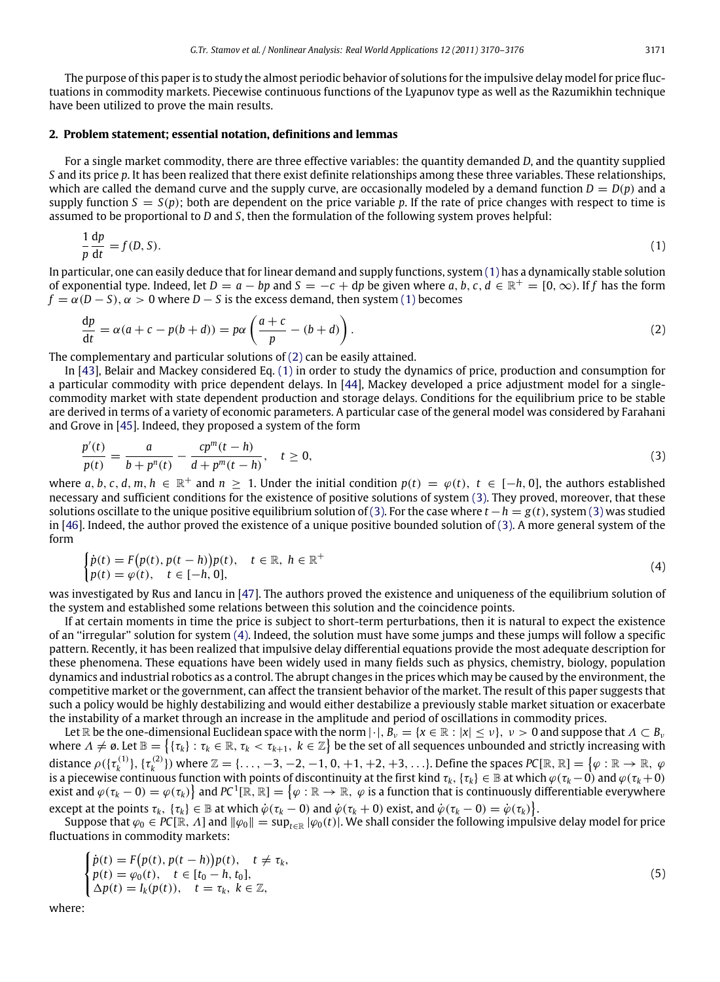The purpose of this paper is to study the almost periodic behavior of solutions for the impulsive delay model for price fluctuations in commodity markets. Piecewise continuous functions of the Lyapunov type as well as the Razumikhin technique have been utilized to prove the main results.

#### **2. Problem statement; essential notation, definitions and lemmas**

For a single market commodity, there are three effective variables: the quantity demanded *D*, and the quantity supplied *S* and its price *p*. It has been realized that there exist definite relationships among these three variables. These relationships, which are called the demand curve and the supply curve, are occasionally modeled by a demand function  $D = D(p)$  and a supply function  $S = S(p)$ ; both are dependent on the price variable p. If the rate of price changes with respect to time is assumed to be proportional to *D* and *S*, then the formulation of the following system proves helpful:

<span id="page-1-0"></span>
$$
\frac{1}{p}\frac{dp}{dt} = f(D, S). \tag{1}
$$

In particular, one can easily deduce that for linear demand and supply functions, system [\(1\)](#page-1-0) has a dynamically stable solution of exponential type. Indeed, let  $D = a - bp$  and  $S = -c + dp$  be given where  $a, b, c, d \in \mathbb{R}^+ = [0, \infty)$ . If f has the form  $f = \alpha(D - S)$ ,  $\alpha > 0$  where  $D - S$  is the excess demand, then system [\(1\)](#page-1-0) becomes

<span id="page-1-1"></span>
$$
\frac{dp}{dt} = \alpha(a+c-p(b+d)) = p\alpha \left(\frac{a+c}{p} - (b+d)\right). \tag{2}
$$

The complementary and particular solutions of [\(2\)](#page-1-1) can be easily attained.

In [\[43\]](#page--1-7), Belair and Mackey considered Eq. [\(1\)](#page-1-0) in order to study the dynamics of price, production and consumption for a particular commodity with price dependent delays. In [\[44\]](#page--1-8), Mackey developed a price adjustment model for a singlecommodity market with state dependent production and storage delays. Conditions for the equilibrium price to be stable are derived in terms of a variety of economic parameters. A particular case of the general model was considered by Farahani and Grove in [\[45\]](#page--1-9). Indeed, they proposed a system of the form

<span id="page-1-2"></span>
$$
\frac{p'(t)}{p(t)} = \frac{a}{b + p^n(t)} - \frac{cp^m(t - h)}{d + p^m(t - h)}, \quad t \ge 0,
$$
\n(3)

where *a*, *b*, *c*, *d*, *m*, *h*  $\in \mathbb{R}^+$  and  $n \geq 1$ . Under the initial condition  $p(t) = \varphi(t)$ ,  $t \in [-h, 0]$ , the authors established necessary and sufficient conditions for the existence of positive solutions of system [\(3\).](#page-1-2) They proved, moreover, that these solutions oscillate to the unique positive equilibrium solution of [\(3\).](#page-1-2) For the case where *t* −*h* = *g*(*t*), system [\(3\)](#page-1-2) was studied in [\[46\]](#page--1-10). Indeed, the author proved the existence of a unique positive bounded solution of [\(3\).](#page-1-2) A more general system of the form

<span id="page-1-3"></span>
$$
\begin{cases}\n\dot{p}(t) = F\big(p(t), p(t-h)\big)p(t), & t \in \mathbb{R}, \ h \in \mathbb{R}^+\n\\
p(t) = \varphi(t), & t \in [-h, 0],\n\end{cases}
$$
\n(4)

was investigated by Rus and Iancu in [\[47\]](#page--1-11). The authors proved the existence and uniqueness of the equilibrium solution of the system and established some relations between this solution and the coincidence points.

If at certain moments in time the price is subject to short-term perturbations, then it is natural to expect the existence of an ''irregular'' solution for system [\(4\).](#page-1-3) Indeed, the solution must have some jumps and these jumps will follow a specific pattern. Recently, it has been realized that impulsive delay differential equations provide the most adequate description for these phenomena. These equations have been widely used in many fields such as physics, chemistry, biology, population dynamics and industrial robotics as a control. The abrupt changes in the prices which may be caused by the environment, the competitive market or the government, can affect the transient behavior of the market. The result of this paper suggests that such a policy would be highly destabilizing and would either destabilize a previously stable market situation or exacerbate the instability of a market through an increase in the amplitude and period of oscillations in commodity prices.

Let  $\mathbb R$  be the one-dimensional Euclidean space with the norm  $|\cdot|$ ,  $B_\nu = \{x \in \mathbb R : |x| \leq \nu\}$ ,  $\nu > 0$  and suppose that  $\Lambda \subset B_\nu$ where  $\Lambda\neq\emptyset.$  Let  $\mathbb{B}=\big\{ \{\tau_k\}:\tau_k\in\mathbb{R},\,\tau_k<\tau_{k+1},\ k\in\mathbb{Z}\big\}$  be the set of all sequences unbounded and strictly increasing with distance  $\rho(\{\tau_k^{(1)}\},\{\tau_k^{(2)}\})$  where  $\mathbb{Z}=\{\ldots,-3,-2,-1,0,+1,+2,+3,\ldots\}$ . Define the spaces  $P{\sf C}[\mathbb{R},\mathbb{R}]=\left\{\varphi:\mathbb{R}\to\mathbb{R},\ \varphi\in\mathbb{R}^2\}$ is a piecewise continuous function with points of discontinuity at the first kind  $\tau_k,\{\tau_k\}\in\mathbb B$  at which  $\varphi(\tau_k-0)$  and  $\varphi(\tau_k+0)$ exist and  $\varphi(\tau_k-0)=\varphi(\tau_k)\big\}$  and  $PC^1[\R,\R]=\big\{\varphi:\R\to\R,~\varphi$  is a function that is continuously differentiable everywhere except at the points  $\tau_k$ ,  $\{\tau_k\} \in \mathbb{B}$  at which  $\dot{\varphi}(\tau_k - 0)$  and  $\dot{\varphi}(\tau_k + 0)$  exist, and  $\dot{\varphi}(\tau_k - 0) = \dot{\varphi}(\tau_k)\}.$ 

Suppose that  $\varphi_0 \in PC[\mathbb{R}, \Lambda]$  and  $\|\varphi_0\| = \sup_{t \in \mathbb{R}} |\varphi_0(t)|$ . We shall consider the following impulsive delay model for price fluctuations in commodity markets:

$$
\begin{cases}\n\dot{p}(t) = F(p(t), p(t-h))p(t), & t \neq \tau_k, \\
p(t) = \varphi_0(t), & t \in [t_0 - h, t_0], \\
\Delta p(t) = I_k(p(t)), & t = \tau_k, \ k \in \mathbb{Z},\n\end{cases}
$$
\n(5)

where: